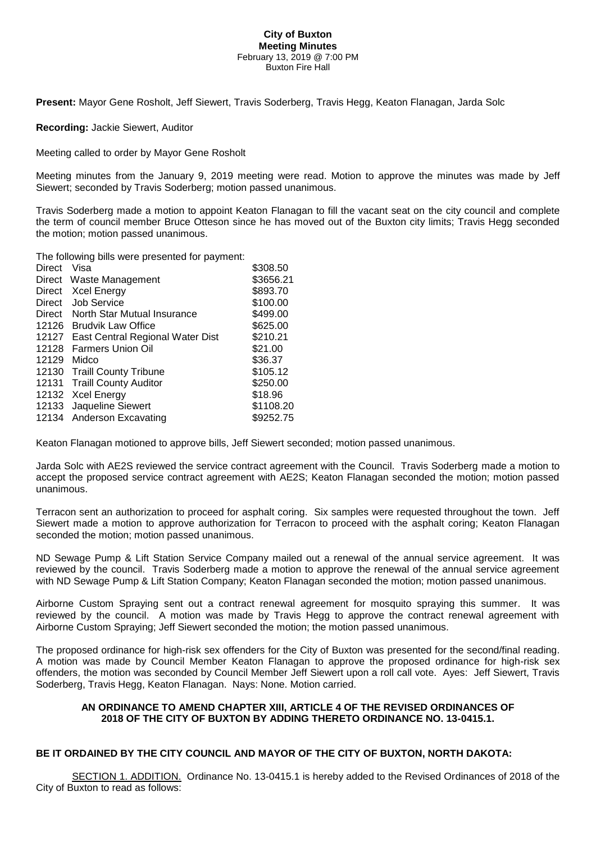#### **City of Buxton Meeting Minutes** February 13, 2019 @ 7:00 PM Buxton Fire Hall

**Present:** Mayor Gene Rosholt, Jeff Siewert, Travis Soderberg, Travis Hegg, Keaton Flanagan, Jarda Solc

**Recording:** Jackie Siewert, Auditor

Meeting called to order by Mayor Gene Rosholt

Meeting minutes from the January 9, 2019 meeting were read. Motion to approve the minutes was made by Jeff Siewert; seconded by Travis Soderberg; motion passed unanimous.

Travis Soderberg made a motion to appoint Keaton Flanagan to fill the vacant seat on the city council and complete the term of council member Bruce Otteson since he has moved out of the Buxton city limits; Travis Hegg seconded the motion; motion passed unanimous.

The following bills were presented for payment:

| <b>Direct</b> | Visa                             | \$308.50  |
|---------------|----------------------------------|-----------|
| Direct        | Waste Management                 | \$3656.21 |
| Direct        | <b>Xcel Energy</b>               | \$893.70  |
| Direct        | <b>Job Service</b>               | \$100.00  |
| Direct        | North Star Mutual Insurance      | \$499.00  |
| 12126         | <b>Brudvik Law Office</b>        | \$625.00  |
| 12127         | East Central Regional Water Dist | \$210.21  |
| 12128         | <b>Farmers Union Oil</b>         | \$21.00   |
| 12129         | Midco                            | \$36.37   |
|               | 12130 Traill County Tribune      | \$105.12  |
| 12131         | <b>Traill County Auditor</b>     | \$250.00  |
|               | 12132 Xcel Energy                | \$18.96   |
| 12133         | Jaqueline Siewert                | \$1108.20 |
|               | 12134 Anderson Excavating        | \$9252.75 |

Keaton Flanagan motioned to approve bills, Jeff Siewert seconded; motion passed unanimous.

Jarda Solc with AE2S reviewed the service contract agreement with the Council. Travis Soderberg made a motion to accept the proposed service contract agreement with AE2S; Keaton Flanagan seconded the motion; motion passed unanimous.

Terracon sent an authorization to proceed for asphalt coring. Six samples were requested throughout the town. Jeff Siewert made a motion to approve authorization for Terracon to proceed with the asphalt coring; Keaton Flanagan seconded the motion; motion passed unanimous.

ND Sewage Pump & Lift Station Service Company mailed out a renewal of the annual service agreement. It was reviewed by the council. Travis Soderberg made a motion to approve the renewal of the annual service agreement with ND Sewage Pump & Lift Station Company; Keaton Flanagan seconded the motion; motion passed unanimous.

Airborne Custom Spraying sent out a contract renewal agreement for mosquito spraying this summer. It was reviewed by the council. A motion was made by Travis Hegg to approve the contract renewal agreement with Airborne Custom Spraying; Jeff Siewert seconded the motion; the motion passed unanimous.

The proposed ordinance for high-risk sex offenders for the City of Buxton was presented for the second/final reading. A motion was made by Council Member Keaton Flanagan to approve the proposed ordinance for high-risk sex offenders, the motion was seconded by Council Member Jeff Siewert upon a roll call vote. Ayes: Jeff Siewert, Travis Soderberg, Travis Hegg, Keaton Flanagan. Nays: None. Motion carried.

# **AN ORDINANCE TO AMEND CHAPTER XIII, ARTICLE 4 OF THE REVISED ORDINANCES OF 2018 OF THE CITY OF BUXTON BY ADDING THERETO ORDINANCE NO. 13-0415.1.**

# **BE IT ORDAINED BY THE CITY COUNCIL AND MAYOR OF THE CITY OF BUXTON, NORTH DAKOTA:**

SECTION 1. ADDITION. Ordinance No. 13-0415.1 is hereby added to the Revised Ordinances of 2018 of the City of Buxton to read as follows: